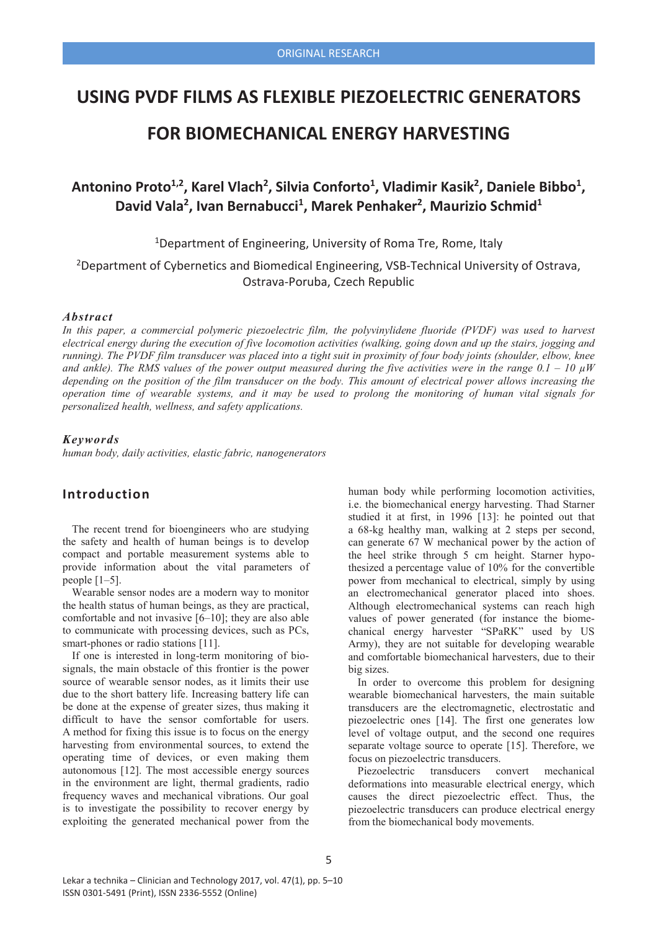## **USING PVDF FILMS AS FLEXIBLE PIEZOELECTRIC GENERATORS**

# **FOR BIOMECHANICAL ENERGY HARVESTING**

# Antonino Proto<sup>1,2</sup>, Karel Vlach<sup>2</sup>, Silvia Conforto<sup>1</sup>, Vladimir Kasik<sup>2</sup>, Daniele Bibbo<sup>1</sup>, David Vala<sup>2</sup>, Ivan Bernabucci<sup>1</sup>, Marek Penhaker<sup>2</sup>, Maurizio Schmid<sup>1</sup>

<sup>1</sup>Department of Engineering, University of Roma Tre, Rome, Italy

<sup>2</sup>Department of Cybernetics and Biomedical Engineering, VSB-Technical University of Ostrava, Ostrava-Poruba, Czech Republic

#### *Abstract*

*In this paper, a commercial polymeric piezoelectric film, the polyvinylidene fluoride (PVDF) was used to harvest electrical energy during the execution of five locomotion activities (walking, going down and up the stairs, jogging and running). The PVDF film transducer was placed into a tight suit in proximity of four body joints (shoulder, elbow, knee and ankle). The RMS values of the power output measured during the five activities were in the range*  $0.1 - 10 \mu W$ *depending on the position of the film transducer on the body. This amount of electrical power allows increasing the operation time of wearable systems, and it may be used to prolong the monitoring of human vital signals for personalized health, wellness, and safety applications.*

#### *Keywords*

*human body, daily activities, elastic fabric, nanogenerators*

## **Introduction**

The recent trend for bioengineers who are studying the safety and health of human beings is to develop compact and portable measurement systems able to provide information about the vital parameters of people [1–5].

Wearable sensor nodes are a modern way to monitor the health status of human beings, as they are practical, comfortable and not invasive [6–10]; they are also able to communicate with processing devices, such as PCs, smart-phones or radio stations [11].

If one is interested in long-term monitoring of biosignals, the main obstacle of this frontier is the power source of wearable sensor nodes, as it limits their use due to the short battery life. Increasing battery life can be done at the expense of greater sizes, thus making it difficult to have the sensor comfortable for users. A method for fixing this issue is to focus on the energy harvesting from environmental sources, to extend the operating time of devices, or even making them autonomous [12]. The most accessible energy sources in the environment are light, thermal gradients, radio frequency waves and mechanical vibrations. Our goal is to investigate the possibility to recover energy by exploiting the generated mechanical power from the human body while performing locomotion activities, i.e. the biomechanical energy harvesting. Thad Starner studied it at first, in 1996 [13]: he pointed out that a 68-kg healthy man, walking at 2 steps per second, can generate 67 W mechanical power by the action of the heel strike through 5 cm height. Starner hypothesized a percentage value of 10% for the convertible power from mechanical to electrical, simply by using an electromechanical generator placed into shoes. Although electromechanical systems can reach high values of power generated (for instance the biomechanical energy harvester "SPaRK" used by US Army), they are not suitable for developing wearable and comfortable biomechanical harvesters, due to their big sizes.

In order to overcome this problem for designing wearable biomechanical harvesters, the main suitable transducers are the electromagnetic, electrostatic and piezoelectric ones [14]. The first one generates low level of voltage output, and the second one requires separate voltage source to operate [15]. Therefore, we focus on piezoelectric transducers.

Piezoelectric transducers convert mechanical deformations into measurable electrical energy, which causes the direct piezoelectric effect. Thus, the piezoelectric transducers can produce electrical energy from the biomechanical body movements.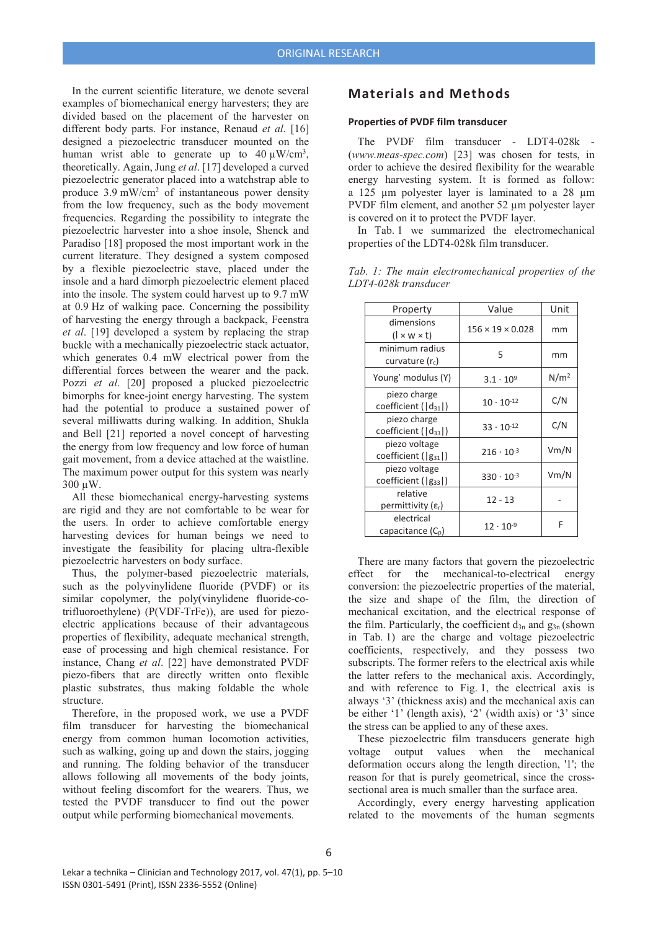In the current scientific literature, we denote several examples of biomechanical energy harvesters; they are divided based on the placement of the harvester on different body parts. For instance, Renaud *et al*. [16] designed a piezoelectric transducer mounted on the human wrist able to generate up to  $40 \mu W/cm^3$ , theoretically. Again, Jung *et al*. [17] developed a curved piezoelectric generator placed into a watchstrap able to produce 3.9 mW/cm2 of instantaneous power density from the low frequency, such as the body movement frequencies. Regarding the possibility to integrate the piezoelectric harvester into a shoe insole, Shenck and Paradiso [18] proposed the most important work in the current literature. They designed a system composed by a flexible piezoelectric stave, placed under the insole and a hard dimorph piezoelectric element placed into the insole. The system could harvest up to 9.7 mW at 0.9 Hz of walking pace. Concerning the possibility of harvesting the energy through a backpack, Feenstra *et al*. [19] developed a system by replacing the strap buckle with a mechanically piezoelectric stack actuator, which generates 0.4 mW electrical power from the differential forces between the wearer and the pack. Pozzi *et al*. [20] proposed a plucked piezoelectric bimorphs for knee-joint energy harvesting. The system had the potential to produce a sustained power of several milliwatts during walking. In addition, Shukla and Bell [21] reported a novel concept of harvesting the energy from low frequency and low force of human gait movement, from a device attached at the waistline. The maximum power output for this system was nearly 300 μW.

All these biomechanical energy-harvesting systems are rigid and they are not comfortable to be wear for the users. In order to achieve comfortable energy harvesting devices for human beings we need to investigate the feasibility for placing ultra-flexible piezoelectric harvesters on body surface.

Thus, the polymer-based piezoelectric materials, such as the polyvinylidene fluoride (PVDF) or its similar copolymer, the poly(vinylidene fluoride-cotrifluoroethylene) (P(VDF-TrFe)), are used for piezoelectric applications because of their advantageous properties of flexibility, adequate mechanical strength, ease of processing and high chemical resistance. For instance, Chang *et al*. [22] have demonstrated PVDF piezo-fibers that are directly written onto flexible plastic substrates, thus making foldable the whole structure.

Therefore, in the proposed work, we use a PVDF film transducer for harvesting the biomechanical energy from common human locomotion activities, such as walking, going up and down the stairs, jogging and running. The folding behavior of the transducer allows following all movements of the body joints, without feeling discomfort for the wearers. Thus, we tested the PVDF transducer to find out the power output while performing biomechanical movements.

### **Materials and Methods**

#### **Properties of PVDF film transducer**

The PVDF film transducer - LDT4-028k - (*www.meas-spec.com*) [23] was chosen for tests, in order to achieve the desired flexibility for the wearable energy harvesting system. It is formed as follow: a 125 μm polyester layer is laminated to a 28 μm PVDF film element, and another 52 μm polyester layer is covered on it to protect the PVDF layer.

In Tab. 1 we summarized the electromechanical properties of the LDT4-028k film transducer.

| Property                                     | Value                        | Unit             |
|----------------------------------------------|------------------------------|------------------|
| dimensions<br>$(l \times w \times t)$        | $156 \times 19 \times 0.028$ | mm               |
| minimum radius<br>curvature (r.)             | 5                            | mm               |
| Young' modulus (Y)                           | $3.1 \cdot 10^{9}$           | N/m <sup>2</sup> |
| piezo charge<br>coefficient ( d31 )          | $10 \cdot 10^{-12}$          | C/N              |
| piezo charge<br>coefficient ( d33 )          | $33 \cdot 10^{-12}$          | C/N              |
| piezo voltage<br>coefficient ( g31 )         | $216 \cdot 10^{-3}$          | Vm/N             |
| piezo voltage<br>coefficient ( g33 )         | $330 \cdot 10^{-3}$          | Vm/N             |
| relative<br>permittivity $(\varepsilon_{r})$ | $12 - 13$                    |                  |
| electrical<br>capacitance $(C_p)$            | $12 \cdot 10^{-9}$           | F                |

*Tab. 1: The main electromechanical properties of the LDT4-028k transducer*

There are many factors that govern the piezoelectric effect for the mechanical-to-electrical energy conversion: the piezoelectric properties of the material, the size and shape of the film, the direction of mechanical excitation, and the electrical response of the film. Particularly, the coefficient  $d_{3n}$  and  $g_{3n}$  (shown in Tab. 1) are the charge and voltage piezoelectric coefficients, respectively, and they possess two subscripts. The former refers to the electrical axis while the latter refers to the mechanical axis. Accordingly, and with reference to Fig. 1, the electrical axis is always '3' (thickness axis) and the mechanical axis can be either '1' (length axis), '2' (width axis) or '3' since the stress can be applied to any of these axes.

These piezoelectric film transducers generate high voltage output values when the mechanical deformation occurs along the length direction, '1'; the reason for that is purely geometrical, since the crosssectional area is much smaller than the surface area.

Accordingly, every energy harvesting application related to the movements of the human segments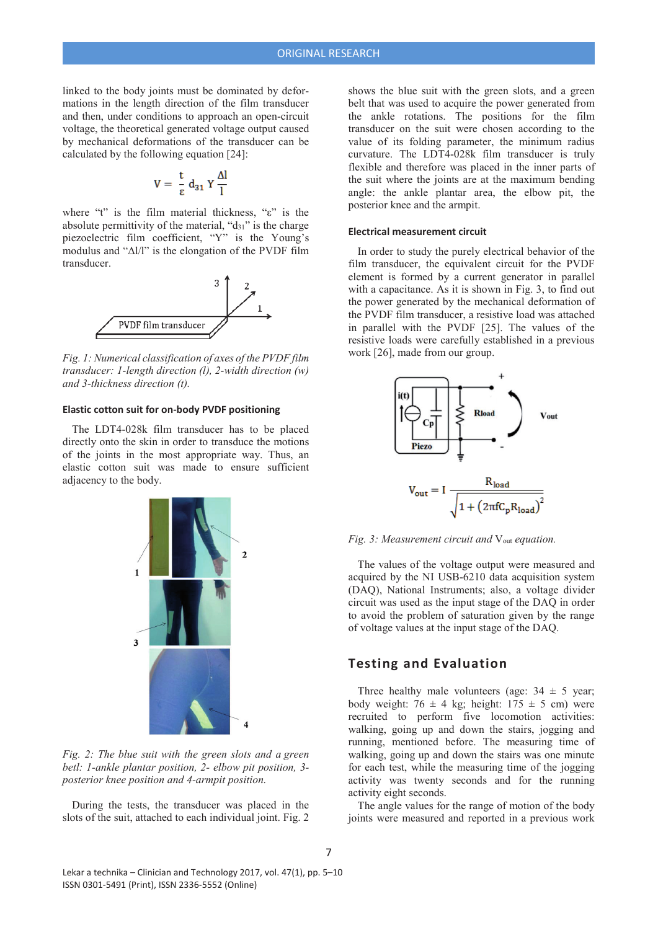linked to the body joints must be dominated by deformations in the length direction of the film transducer and then, under conditions to approach an open-circuit voltage, the theoretical generated voltage output caused by mechanical deformations of the transducer can be calculated by the following equation [24]:

$$
V = \frac{t}{\epsilon} d_{31} Y \frac{\Delta l}{l}
$$

where "t" is the film material thickness, " $\varepsilon$ " is the absolute permittivity of the material, " $d_{31}$ " is the charge piezoelectric film coefficient, "Y" is the Young's modulus and " $\Delta l/l$ " is the elongation of the PVDF film transducer.



*Fig. 1: Numerical classification of axes of the PVDF film transducer: 1-length direction (l), 2-width direction (w) and 3-thickness direction (t).*

#### **Elastic cotton suit for on-body PVDF positioning**

The LDT4-028k film transducer has to be placed directly onto the skin in order to transduce the motions of the joints in the most appropriate way. Thus, an elastic cotton suit was made to ensure sufficient adjacency to the body.



*Fig. 2: The blue suit with the green slots and a green betl: 1-ankle plantar position, 2- elbow pit position, 3 posterior knee position and 4-armpit position.*

During the tests, the transducer was placed in the slots of the suit, attached to each individual joint. Fig. 2

shows the blue suit with the green slots, and a green belt that was used to acquire the power generated from the ankle rotations. The positions for the film transducer on the suit were chosen according to the value of its folding parameter, the minimum radius curvature. The LDT4-028k film transducer is truly flexible and therefore was placed in the inner parts of the suit where the joints are at the maximum bending angle: the ankle plantar area, the elbow pit, the posterior knee and the armpit.

#### **Electrical measurement circuit**

In order to study the purely electrical behavior of the film transducer, the equivalent circuit for the PVDF element is formed by a current generator in parallel with a capacitance. As it is shown in Fig. 3, to find out the power generated by the mechanical deformation of the PVDF film transducer, a resistive load was attached in parallel with the PVDF [25]. The values of the resistive loads were carefully established in a previous work [26], made from our group.



*Fig. 3: Measurement circuit and*  $V_{out}$  *equation.* 

The values of the voltage output were measured and acquired by the NI USB-6210 data acquisition system (DAQ), National Instruments; also, a voltage divider circuit was used as the input stage of the DAQ in order to avoid the problem of saturation given by the range of voltage values at the input stage of the DAQ.

#### **Testing and Evaluation**

Three healthy male volunteers (age:  $34 \pm 5$  year; body weight:  $76 \pm 4$  kg; height:  $175 \pm 5$  cm) were recruited to perform five locomotion activities: walking, going up and down the stairs, jogging and running, mentioned before. The measuring time of walking, going up and down the stairs was one minute for each test, while the measuring time of the jogging activity was twenty seconds and for the running activity eight seconds.

The angle values for the range of motion of the body joints were measured and reported in a previous work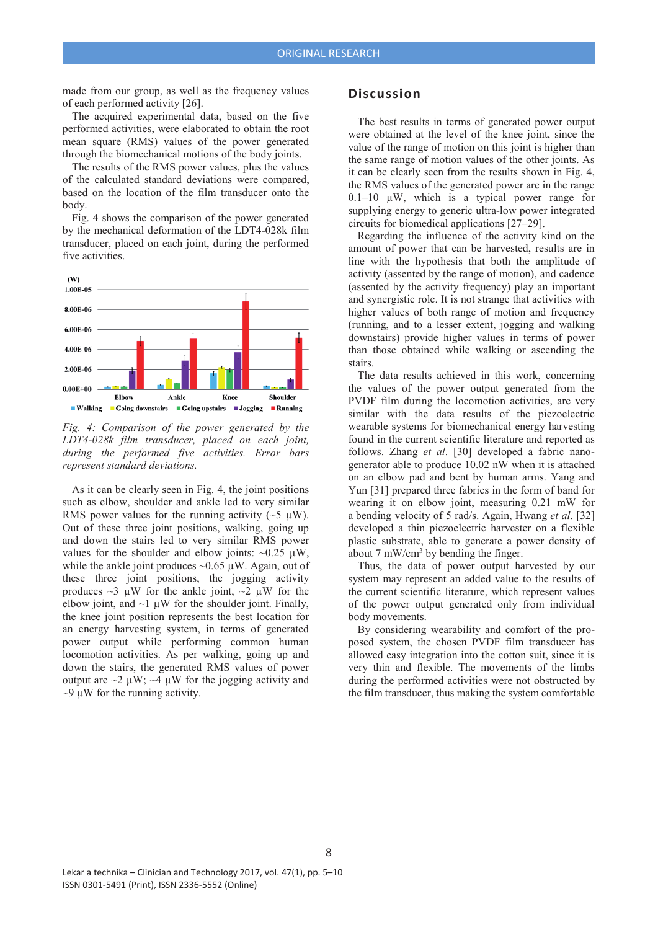made from our group, as well as the frequency values of each performed activity [26].

The acquired experimental data, based on the five performed activities, were elaborated to obtain the root mean square (RMS) values of the power generated through the biomechanical motions of the body joints.

The results of the RMS power values, plus the values of the calculated standard deviations were compared, based on the location of the film transducer onto the body.

Fig. 4 shows the comparison of the power generated by the mechanical deformation of the LDT4-028k film transducer, placed on each joint, during the performed five activities.



*Fig. 4: Comparison of the power generated by the LDT4-028k film transducer, placed on each joint, during the performed five activities. Error bars represent standard deviations.*

As it can be clearly seen in Fig. 4, the joint positions such as elbow, shoulder and ankle led to very similar RMS power values for the running activity ( $\sim$ 5  $\mu$ W). Out of these three joint positions, walking, going up and down the stairs led to very similar RMS power values for the shoulder and elbow joints:  $\sim 0.25 \mu W$ , while the ankle joint produces  $\sim 0.65 \mu W$ . Again, out of these three joint positions, the jogging activity produces  $\sim$ 3 μW for the ankle joint,  $\sim$ 2 μW for the elbow joint, and  $\sim$ 1  $\mu$ W for the shoulder joint. Finally, the knee joint position represents the best location for an energy harvesting system, in terms of generated power output while performing common human locomotion activities. As per walking, going up and down the stairs, the generated RMS values of power output are  $\sim$ 2 μW;  $\sim$ 4 μW for the jogging activity and  $\sim$ 9 μW for the running activity.

#### **Discussion**

The best results in terms of generated power output were obtained at the level of the knee joint, since the value of the range of motion on this joint is higher than the same range of motion values of the other joints. As it can be clearly seen from the results shown in Fig. 4, the RMS values of the generated power are in the range  $0.1-10$   $\mu$ W, which is a typical power range for supplying energy to generic ultra-low power integrated circuits for biomedical applications [27–29].

Regarding the influence of the activity kind on the amount of power that can be harvested, results are in line with the hypothesis that both the amplitude of activity (assented by the range of motion), and cadence (assented by the activity frequency) play an important and synergistic role. It is not strange that activities with higher values of both range of motion and frequency (running, and to a lesser extent, jogging and walking downstairs) provide higher values in terms of power than those obtained while walking or ascending the stairs.

The data results achieved in this work, concerning the values of the power output generated from the PVDF film during the locomotion activities, are very similar with the data results of the piezoelectric wearable systems for biomechanical energy harvesting found in the current scientific literature and reported as follows. Zhang *et al*. [30] developed a fabric nanogenerator able to produce 10.02 nW when it is attached on an elbow pad and bent by human arms. Yang and Yun [31] prepared three fabrics in the form of band for wearing it on elbow joint, measuring 0.21 mW for a bending velocity of 5 rad/s. Again, Hwang *et al*. [32] developed a thin piezoelectric harvester on a flexible plastic substrate, able to generate a power density of about 7 mW/cm<sup>3</sup> by bending the finger.

Thus, the data of power output harvested by our system may represent an added value to the results of the current scientific literature, which represent values of the power output generated only from individual body movements.

By considering wearability and comfort of the proposed system, the chosen PVDF film transducer has allowed easy integration into the cotton suit, since it is very thin and flexible. The movements of the limbs during the performed activities were not obstructed by the film transducer, thus making the system comfortable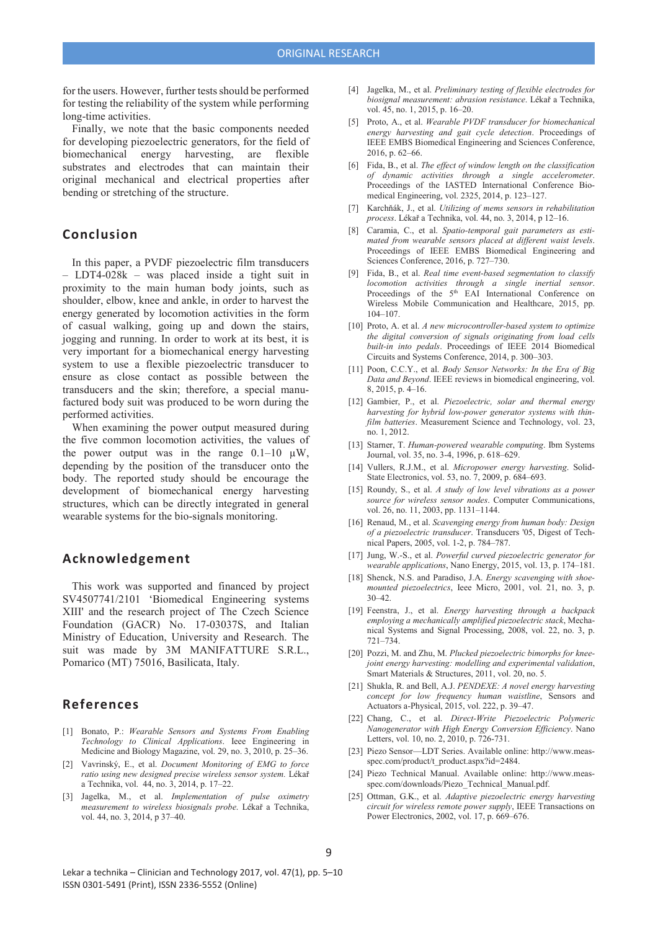for the users. However, further tests should be performed for testing the reliability of the system while performing long-time activities.

Finally, we note that the basic components needed for developing piezoelectric generators, for the field of biomechanical energy harvesting, are flexible substrates and electrodes that can maintain their original mechanical and electrical properties after bending or stretching of the structure.

### **Conclusion**

In this paper, a PVDF piezoelectric film transducers – LDT4-028k – was placed inside a tight suit in proximity to the main human body joints, such as shoulder, elbow, knee and ankle, in order to harvest the energy generated by locomotion activities in the form of casual walking, going up and down the stairs, jogging and running. In order to work at its best, it is very important for a biomechanical energy harvesting system to use a flexible piezoelectric transducer to ensure as close contact as possible between the transducers and the skin; therefore, a special manufactured body suit was produced to be worn during the performed activities.

When examining the power output measured during the five common locomotion activities, the values of the power output was in the range  $0.1-10 \mu W$ , depending by the position of the transducer onto the body. The reported study should be encourage the development of biomechanical energy harvesting structures, which can be directly integrated in general wearable systems for the bio-signals monitoring.

### **Acknowledgement**

This work was supported and financed by project SV4507741/2101 'Biomedical Engineering systems XIII' and the research project of The Czech Science Foundation (GACR) No. 17-03037S, and Italian Ministry of Education, University and Research. The suit was made by 3M MANIFATTURE S.R.L., Pomarico (MT) 75016, Basilicata, Italy.

#### **References**

- [1] Bonato, P.: *Wearable Sensors and Systems From Enabling Technology to Clinical Applications*. Ieee Engineering in Medicine and Biology Magazine, vol. 29, no. 3, 2010, p. 25–36.
- [2] Vavrinský, E., et al. *Document Monitoring of EMG to force ratio using new designed precise wireless sensor system.* Lékař a Technika, vol. 44, no. 3, 2014, p. 17–22.
- [3] Jagelka, M., et al. *Implementation of pulse oximetry measurement to wireless biosignals probe*. Lékař a Technika, vol. 44, no. 3, 2014, p 37–40.
- [4] Jagelka, M., et al. *Preliminary testing of flexible electrodes for biosignal measurement: abrasion resistance*. Lékař a Technika. vol. 45, no. 1, 2015, p. 16–20.
- [5] Proto, A., et al. *Wearable PVDF transducer for biomechanical energy harvesting and gait cycle detection*. Proceedings of IEEE EMBS Biomedical Engineering and Sciences Conference, 2016, p. 62–66.
- [6] Fida, B., et al. *The effect of window length on the classification of dynamic activities through a single accelerometer*. Proceedings of the IASTED International Conference Biomedical Engineering, vol. 2325, 2014, p. 123–127.
- [7] Karchňák, J., et al. *Utilizing of mems sensors in rehabilitation process*. Lékař a Technika, vol. 44, no. 3, 2014, p 12-16.
- [8] Caramia, C., et al. *Spatio-temporal gait parameters as estimated from wearable sensors placed at different waist levels*. Proceedings of IEEE EMBS Biomedical Engineering and Sciences Conference, 2016, p. 727–730.
- [9] Fida, B., et al. *Real time event-based segmentation to classify locomotion activities through a single inertial sensor*. Proceedings of the  $5<sup>th</sup>$  EAI International Conference on Wireless Mobile Communication and Healthcare, 2015, pp. 104–107.
- [10] Proto, A. et al. *A new microcontroller-based system to optimize the digital conversion of signals originating from load cells built-in into pedals*. Proceedings of IEEE 2014 Biomedical Circuits and Systems Conference, 2014, p. 300–303.
- [11] Poon, C.C.Y., et al. *Body Sensor Networks: In the Era of Big Data and Beyond*. IEEE reviews in biomedical engineering, vol. 8, 2015, p. 4–16.
- [12] Gambier, P., et al. *Piezoelectric, solar and thermal energy harvesting for hybrid low-power generator systems with thinfilm batteries*. Measurement Science and Technology, vol. 23, no. 1, 2012.
- [13] Starner, T. *Human-powered wearable computing*. Ibm Systems Journal, vol. 35, no. 3-4, 1996, p. 618–629.
- [14] Vullers, R.J.M., et al. *Micropower energy harvesting*. Solid-State Electronics, vol. 53, no. 7, 2009, p. 684–693.
- [15] Roundy, S., et al. *A study of low level vibrations as a power source for wireless sensor nodes*. Computer Communications, vol. 26, no. 11, 2003, pp. 1131–1144.
- [16] Renaud, M., et al. *Scavenging energy from human body: Design of a piezoelectric transducer*. Transducers '05, Digest of Technical Papers, 2005, vol. 1-2, p. 784–787.
- [17] Jung, W.-S., et al. *Powerful curved piezoelectric generator for wearable applications*, Nano Energy, 2015, vol. 13, p. 174–181.
- [18] Shenck, N.S. and Paradiso, J.A. *Energy scavenging with shoemounted piezoelectrics*, Ieee Micro, 2001, vol. 21, no. 3, p. 30–42.
- [19] Feenstra, J., et al. *Energy harvesting through a backpack employing a mechanically amplified piezoelectric stack*, Mechanical Systems and Signal Processing, 2008, vol. 22, no. 3, p. 721–734.
- [20] Pozzi, M. and Zhu, M. *Plucked piezoelectric bimorphs for kneejoint energy harvesting: modelling and experimental validation*, Smart Materials & Structures, 2011, vol. 20, no. 5.
- [21] Shukla, R. and Bell, A.J. *PENDEXE: A novel energy harvesting concept for low frequency human waistline*, Sensors and Actuators a-Physical, 2015, vol. 222, p. 39–47.
- [22] Chang, C., et al. *Direct-Write Piezoelectric Polymeric Nanogenerator with High Energy Conversion Efficiency*. Nano Letters, vol. 10, no. 2, 2010, p. 726-731.
- [23] Piezo Sensor—LDT Series. Available online: http://www.measspec.com/product/t\_product.aspx?id=2484.
- [24] Piezo Technical Manual. Available online: http://www.measspec.com/downloads/Piezo\_Technical\_Manual.pdf.
- [25] Ottman, G.K., et al. *Adaptive piezoelectric energy harvesting circuit for wireless remote power supply*, IEEE Transactions on Power Electronics, 2002, vol. 17, p. 669–676.